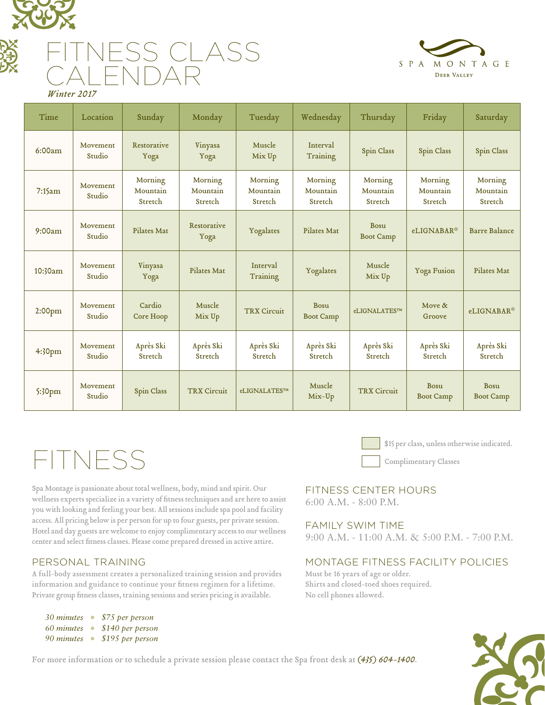

# S CLASS CALENDAR



 *Winter 2017*

| Time               | Location           | Sunday                         | Monday                         | Tuesday                        | Wednesday                       | Thursday                       | Friday                          | Saturday                        |
|--------------------|--------------------|--------------------------------|--------------------------------|--------------------------------|---------------------------------|--------------------------------|---------------------------------|---------------------------------|
| 6:00am             | Movement<br>Studio | Restorative<br>Yoga            | Vinyasa<br>Yoga                | Muscle<br>Mix Up               | Interval<br>Training            | Spin Class                     | Spin Class                      | Spin Class                      |
| 7:15am             | Movement<br>Studio | Morning<br>Mountain<br>Stretch | Morning<br>Mountain<br>Stretch | Morning<br>Mountain<br>Stretch | Morning<br>Mountain<br>Stretch  | Morning<br>Mountain<br>Stretch | Morning<br>Mountain<br>Stretch  | Morning<br>Mountain<br>Stretch  |
| 9:00am             | Movement<br>Studio | Pilates Mat                    | Restorative<br>Yoga            | Yogalates                      | Pilates Mat                     | Bosu<br><b>Boot Camp</b>       | eLIGNABAR®                      | <b>Barre Balance</b>            |
| 10:30am            | Movement<br>Studio | Vinyasa<br>Yoga                | Pilates Mat                    | Interval<br>Training           | Yogalates                       | Muscle<br>Mix Up               | <b>Yoga Fusion</b>              | Pilates Mat                     |
| 2:00pm             | Movement<br>Studio | Cardio<br>Core Hoop            | Muscle<br>Mix Up               | <b>TRX Circuit</b>             | <b>Bosu</b><br><b>Boot Camp</b> | eLIGNALATES™                   | Move $\&$<br>Groove             | eLIGNABAR®                      |
| 4:30pm             | Movement<br>Studio | Après Ski<br>Stretch           | Après Ski<br>Stretch           | Après Ski<br>Stretch           | Après Ski<br>Stretch            | Après Ski<br>Stretch           | Après Ski<br>Stretch            | Après Ski<br>Stretch            |
| 5:30 <sub>pm</sub> | Movement<br>Studio | Spin Class                     | <b>TRX Circuit</b>             | eLIGNALATES™                   | Muscle<br>Mix-Up                | <b>TRX Circuit</b>             | <b>Bosu</b><br><b>Boot Camp</b> | <b>Bosu</b><br><b>Boot Camp</b> |

# FITNESS

Spa Montage is passionate about total wellness, body, mind and spirit. Our wellness experts specialize in a variety of fitness techniques and are here to assist you with looking and feeling your best. All sessions include spa pool and facility access. All pricing below is per person for up to four guests, per private session. Hotel and day guests are welcome to enjoy complimentary access to our wellness center and select fitness classes. Please come prepared dressed in active attire.

# PERSONAL TRAINING

A full-body assessment creates a personalized training session and provides information and guidance to continue your fitness regimen for a lifetime. Private group fitness classes, training sessions and series pricing is available.

| 30 minutes | \$75 per person  |
|------------|------------------|
| 60 minutes | \$140 per person |
| 90 minutes | \$195 per person |

\$15 per class, unless otherwise indicated.

Complimentary Classes

# FITNESS CENTER HOURS 6:00 A.M. - 8:00 P.M.

# FAMILY SWIM TIME

9:00 A.M. - 11:00 A.M. & 5:00 P.M. - 7:00 P.M.

# MONTAGE FITNESS FACILITY POLICIES

Must be 16 years of age or older. Shirts and closed-toed shoes required. No cell phones allowed.



For more information or to schedule a private session please contact the Spa front desk at *(435) 604-1400*.